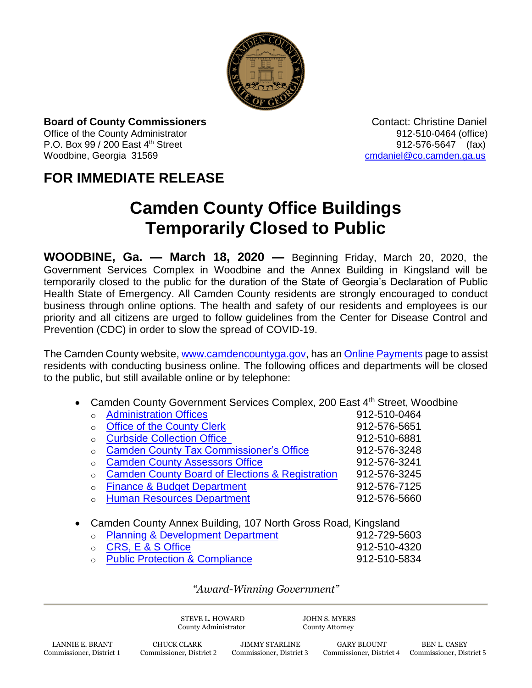

**Board of County Commissioners Contact: Christine Daniel Contact: Christine Daniel** 

P.O. Box 99 / 200 East 4<sup>th</sup> Street 912-576-5647 (fax) Woodbine, Georgia 31569 [cmdaniel@co.camden.ga.us](mailto:cmdaniel@co.camden.ga.us)

Office of the County Administrator 012-510-0464 (office)

## **FOR IMMEDIATE RELEASE**

## **Camden County Office Buildings Temporarily Closed to Public**

**WOODBINE, Ga. — March 18, 2020 —** Beginning Friday, March 20, 2020, the Government Services Complex in Woodbine and the Annex Building in Kingsland will be temporarily closed to the public for the duration of the State of Georgia's Declaration of Public Health State of Emergency. All Camden County residents are strongly encouraged to conduct business through online options. The health and safety of our residents and employees is our priority and all citizens are urged to follow guidelines from the Center for Disease Control and Prevention (CDC) in order to slow the spread of COVID-19.

The Camden County website, [www.camdencountyga.gov,](http://www.camdencountyga.gov/) has an Online Payments page to assist residents with conducting business online. The following offices and departments will be closed to the public, but still available online or by telephone:

## • Camden County Government Services Complex, 200 East 4<sup>th</sup> Street, Woodbine

|            | <b>Administration Offices</b>                              | 912-510-0464 |
|------------|------------------------------------------------------------|--------------|
|            | <b>Office of the County Clerk</b>                          | 912-576-5651 |
| $\bigcirc$ | <b>Curbside Collection Office</b>                          | 912-510-6881 |
| $\bigcirc$ | <b>Camden County Tax Commissioner's Office</b>             | 912-576-3248 |
|            | <b>Camden County Assessors Office</b>                      | 912-576-3241 |
|            | <b>Camden County Board of Elections &amp; Registration</b> | 912-576-3245 |
| $\bigcirc$ | <b>Finance &amp; Budget Department</b>                     | 912-576-7125 |
|            | <b>Human Resources Department</b>                          | 912-576-5660 |
|            |                                                            |              |

## Camden County Annex Building, 107 North Gross Road, Kingsland

| • Planning & Development Department | 912-729-5603 |
|-------------------------------------|--------------|
| ○ CRS, E & S Office                 | 912-510-4320 |
| ○ Public Protection & Compliance    | 912-510-5834 |

*"Award-Winning Government"*

STEVE L. HOWARD JOHN S. MYERS County Administrator County Attorney